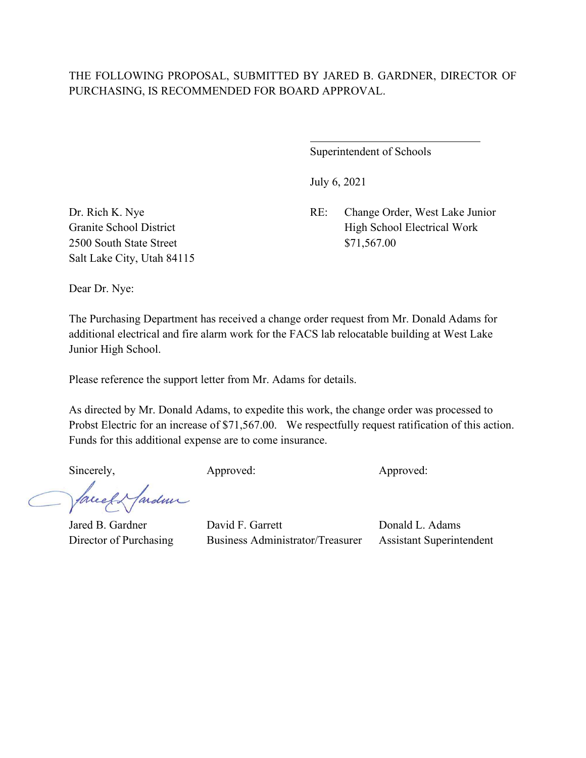# THE FOLLOWING PROPOSAL, SUBMITTED BY JARED B. GARDNER, DIRECTOR OF PURCHASING, IS RECOMMENDED FOR BOARD APPROVAL.

 $\overline{a}$ 

Superintendent of Schools

July 6, 2021

Dr. Rich K. Nye RE: Change Order, West Lake Junior Granite School District High School Electrical Work

2500 South State Street \$71,567.00 Salt Lake City, Utah 84115

Dear Dr. Nye:

The Purchasing Department has received a change order request from Mr. Donald Adams for additional electrical and fire alarm work for the FACS lab relocatable building at West Lake Junior High School.

Please reference the support letter from Mr. Adams for details.

As directed by Mr. Donald Adams, to expedite this work, the change order was processed to Probst Electric for an increase of \$71,567.00. We respectfully request ratification of this action. Funds for this additional expense are to come insurance.

Sincerely, Approved: Approved: Approved: Approved:

facely farden

Jared B. Gardner David F. Garrett Donald L. Adams Director of Purchasing Business Administrator/Treasurer Assistant Superintendent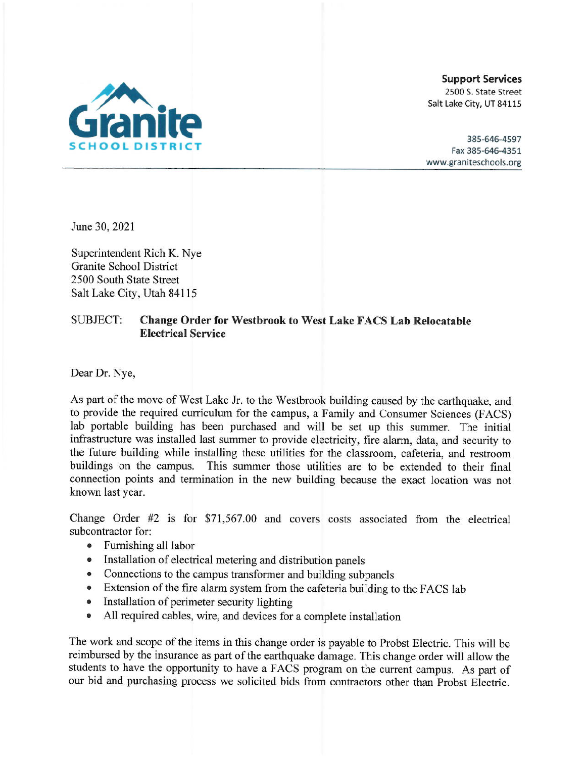

**Support Services** 2500 S. State Street Salt Lake City, UT 84115

385-646-4597 Fax 385-646-4351 www.graniteschools.org

June 30, 2021

Superintendent Rich K. Nye Granite School District 2500 South State Street Salt Lake City, Utah 84115

### SUBJECT: **Change Order for Westbrook to West Lake FACS Lab Relocatable Electrical Service**

Dear Dr. Nye,

As part of the move of West Lake Jr. to the Westbrook building caused by the earthquake, and to provide the required curriculum for the campus, a Family and Consumer Sciences (FACS) lab portable building has been purchased and will be set up this summer. The initial infrastructure was installed last summer to provide electricity, fire alarm, data, and security to the future building while installing these utilities for the classroom, cafeteria, and restroom buildings on the campus. This summer those utilities are to be extended to their final connection points and termination in the new building because the exact location was not known last year.

Change Order #2 is for \$71,567.00 and covers costs associated from the electrical subcontractor for:

- Furnishing all labor
- Installation of electrical metering and distribution panels
- Connections to the campus transformer and building subpanels
- Extension of the fire alarm system from the cafeteria building to the FACS lab
- Installation of perimeter security lighting
- All required cables, wire, and devices for a complete installation

The work and scope of the items in this change order is payable to Probst Electric. This will be reimbursed by the insurance as part of the earthquake damage. This change order will allow the students to have the opportunity to have a FACS program on the current campus. As part of our bid and purchasing process we solicited bids from contractors other than Probst Electric.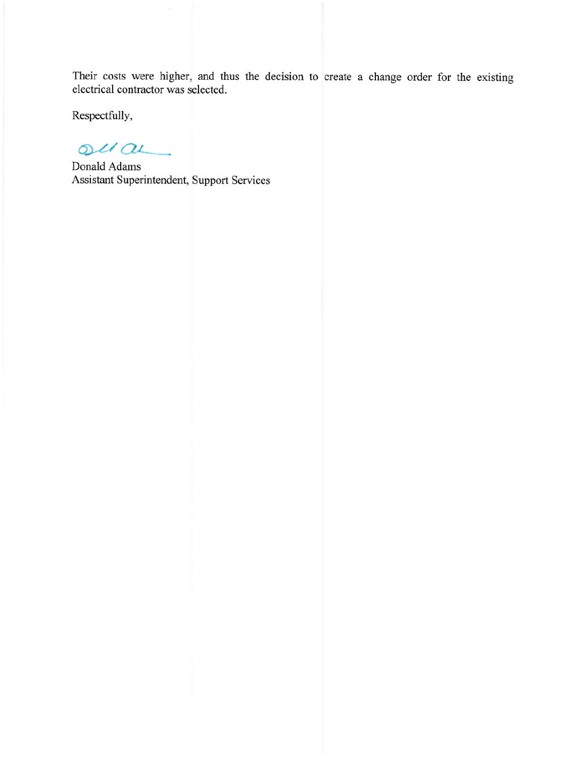Their costs were higher, and thus the decision to create a change order for the existing electrical contractor was selected.

Respectfully,

 $ouau$ 

Donald Adams Assistant Superintendent, Support Services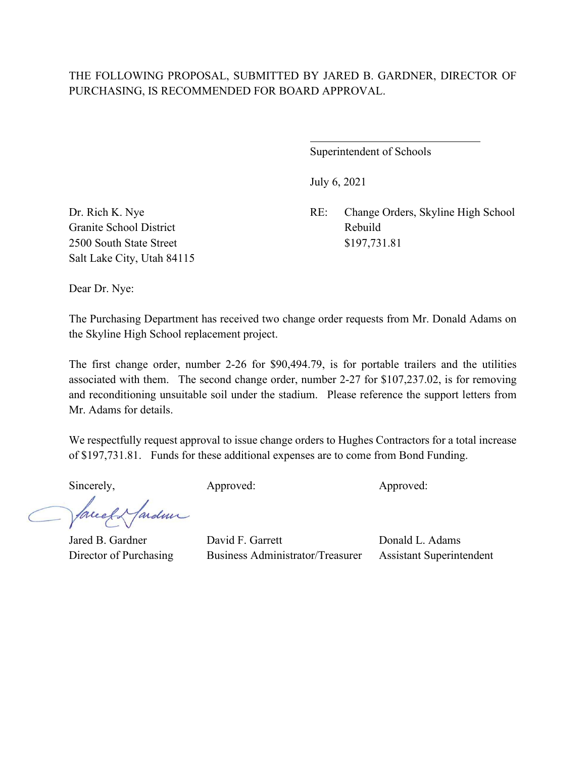## THE FOLLOWING PROPOSAL, SUBMITTED BY JARED B. GARDNER, DIRECTOR OF PURCHASING, IS RECOMMENDED FOR BOARD APPROVAL.

 $\overline{a}$ 

Superintendent of Schools

July 6, 2021

Dr. Rich K. Nye RE: Change Orders, Skyline High School

Granite School District Rebuild 2500 South State Street \$197,731.81 Salt Lake City, Utah 84115

Dear Dr. Nye:

The Purchasing Department has received two change order requests from Mr. Donald Adams on the Skyline High School replacement project.

The first change order, number 2-26 for \$90,494.79, is for portable trailers and the utilities associated with them. The second change order, number 2-27 for \$107,237.02, is for removing and reconditioning unsuitable soil under the stadium. Please reference the support letters from Mr. Adams for details.

We respectfully request approval to issue change orders to Hughes Contractors for a total increase of \$197,731.81. Funds for these additional expenses are to come from Bond Funding.

Sincerely, Approved: Approved: Approved: Approved:

Mardin facel

Jared B. Gardner David F. Garrett Donald L. Adams Director of Purchasing Business Administrator/Treasurer Assistant Superintendent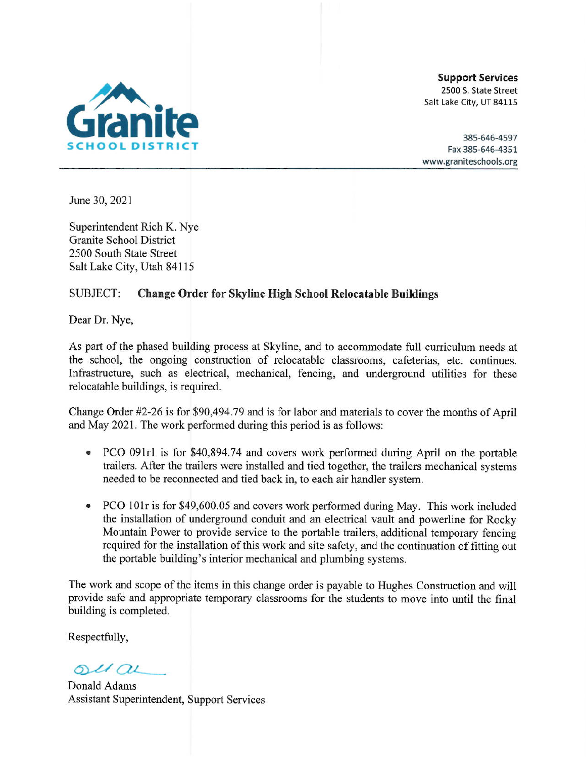

**Support Services** 2500 S. State Street Salt Lake City, UT 84115

385-646-4597 Fax 385-646-4351 www.graniteschools.org

June 30, 2021

Superintendent Rich K. Nye Granite School District 2500 South State Street Salt Lake City, Utah 84115

#### **SUBJECT: Change Order for Skyline High School Relocatable Buildings**

Dear Dr. Nye,

As part of the phased building process at Skyline, and to accommodate full curriculum needs at the school, the ongoing construction of relocatable classrooms, cafeterias, etc. continues. Infrastructure, such as electrical, mechanical, fencing, and underground utilities for these relocatable buildings, is required.

Change Order  $\#2$ -26 is for \$90,494.79 and is for labor and materials to cover the months of April and May 2021. The work performed during this period is as follows:

- PCO 091r1 is for \$40,894.74 and covers work performed during April on the portable trailers. After the trailers were installed and tied together, the trailers mechanical systems needed to be reconnected and tied back in, to each air handler system.
- PCO 101r is for \$49,600.05 and covers work performed during May. This work included  $\bullet$ the installation of underground conduit and an electrical vault and powerline for Rocky Mountain Power to provide service to the portable trailers, additional temporary fencing required for the installation of this work and site safety, and the continuation of fitting out the portable building's interior mechanical and plumbing systems.

The work and scope of the items in this change order is payable to Hughes Construction and will provide safe and appropriate temporary classrooms for the students to move into until the final building is completed.

Respectfully,

 $ol(au)$ 

Donald Adams Assistant Superintendent, Support Services